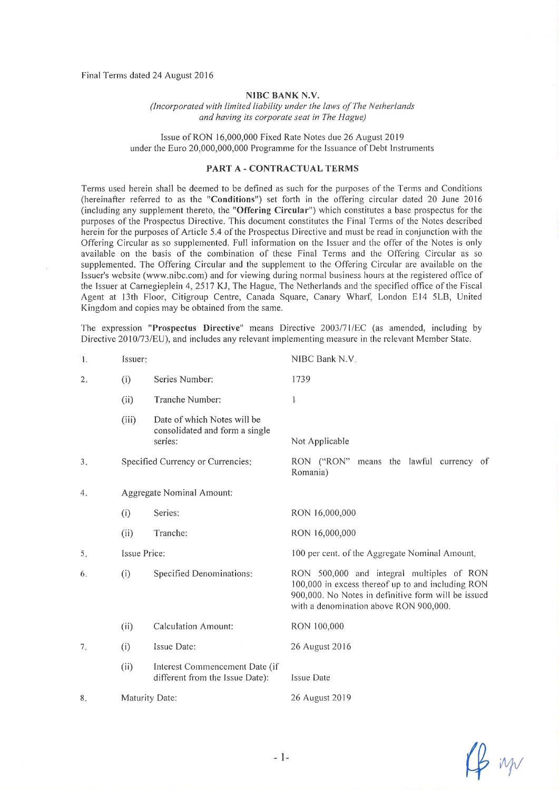Final Terms dated 24 August 2016

## NIBC BANK N.V.

(Incorporated with limited liability under the laws of The Netherlands and having its corporate seat in The Hague)

Issue of RON 16,000,000 Fixed Rate Notes due 26 August2019 under the Euro 20,000,000,000 Programme for the Issuance of Debt Instruments

## PART A - CONTRACTUAL TERMS

Terms used herein shall be deemed to be defìned as such for the purposes of the Tenns and Conditions (hereinafter referred to as the "Conditions") set forth in the offering circular dated 20 June 2016 (including any supplement thereto, the "Offering Circular") which constitutes a base prospectus for the purposes of the Prospectus Directive. This document constitutes the Final Terms of the Notes described herein for the purposes of Article 5.4 of the Prospectus Directive and must be read in conjunction with the Offering Circular as so supplemented. Full information on the lssuer and the offer of the Notes is only available on the basis of the combination of these Final Terms and the Offering Circular as so supplemented. The Offering Circular and the supplement to the Offering Circular are available on the Issuer's website (www.nibc.com) and for viewing during normal business hours at the registered office of the lssuer at Carnegieplein 4,2517 KJ, The Hague, The Netherlands and the specified office of the Fiscal Agent at l3th Floor, Citigroup Centre, Canada Square, Canary Wharf, London El4 5LB, United Kingdom and copies may be obtained from the same.

The expression "Prospectus Directive" means Directive 2003/71/EC (as amended, including by Directive 2010/73/EU), and includes any relevant implementing measure in the relevant Member State.

| Τ. | Issuer:      |                                                                          | NIBC Bank N.V.                                                                                                                                                                                  |  |
|----|--------------|--------------------------------------------------------------------------|-------------------------------------------------------------------------------------------------------------------------------------------------------------------------------------------------|--|
| 2. | (i)          | Series Number:                                                           | 1739                                                                                                                                                                                            |  |
|    | (ii)         | Tranche Number:                                                          | $\bf{l}$                                                                                                                                                                                        |  |
|    | (iii)        | Date of which Notes will be<br>consolidated and form a single<br>series: | Not Applicable                                                                                                                                                                                  |  |
| 3. |              | Specified Currency or Currencies:                                        | RON ("RON" means the lawful currency of<br>Romania)                                                                                                                                             |  |
| 4. |              | Aggregate Nominal Amount:                                                |                                                                                                                                                                                                 |  |
|    | (i)          | Series:                                                                  | RON 16,000,000                                                                                                                                                                                  |  |
|    | (ii)         | Tranche:                                                                 | RON 16,000,000                                                                                                                                                                                  |  |
| 5. | Issue Price: |                                                                          | 100 per cent. of the Aggregate Nominal Amount.                                                                                                                                                  |  |
| 6. | (i)          | <b>Specified Denominations:</b>                                          | RON 500,000 and integral multiples of RON<br>100,000 in excess thereof up to and including RON<br>900,000. No Notes in definitive form will be issued<br>with a denomination above RON 900,000. |  |
|    | (ii)         | <b>Calculation Amount:</b>                                               | RON 100,000                                                                                                                                                                                     |  |
| 7. | (i)          | Issue Date:                                                              | 26 August 2016                                                                                                                                                                                  |  |
|    | (ii)         | Interest Commencement Date (if<br>different from the Issue Date):        | <b>Issue Date</b>                                                                                                                                                                               |  |
| 8. |              | Maturity Date:                                                           | 26 August 2019                                                                                                                                                                                  |  |

 $\not\!\!\!\!\!\downarrow$  in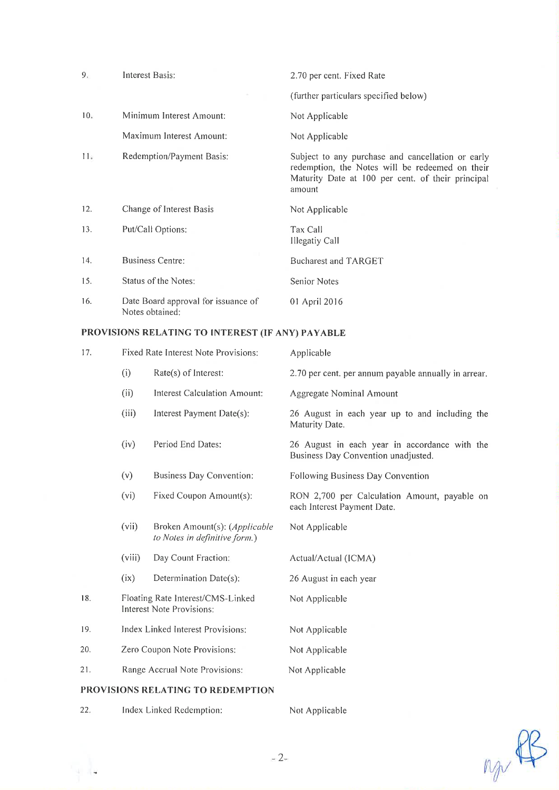| 9.  | Interest Basis:                                        | 2.70 per cent. Fixed Rate                                                                                                                                           |
|-----|--------------------------------------------------------|---------------------------------------------------------------------------------------------------------------------------------------------------------------------|
|     |                                                        | (further particulars specified below)                                                                                                                               |
| 10. | Minimum Interest Amount:                               | Not Applicable                                                                                                                                                      |
|     | Maximum Interest Amount:                               | Not Applicable                                                                                                                                                      |
| Пs  | Redemption/Payment Basis:                              | Subject to any purchase and cancellation or early<br>redemption, the Notes will be redeemed on their<br>Maturity Date at 100 per cent. of their principal<br>amount |
| 12. | Change of Interest Basis                               | Not Applicable                                                                                                                                                      |
| 13. | Put/Call Options:                                      | Tax Call<br>Illegatiy Call                                                                                                                                          |
| 14. | Business Centre:                                       | <b>Bucharest and TARGET</b>                                                                                                                                         |
| 15. | Status of the Notes:                                   | Senior Notes                                                                                                                                                        |
| 16. | Date Board approval for issuance of<br>Notes obtained: | 01 April 2016                                                                                                                                                       |

# PROVISIONS RELATING TO INTEREST (IF ANY) PAYABLE

| 17.                               | Fixed Rate Interest Note Provisions:                           |                                                                | Applicable                                                                           |  |
|-----------------------------------|----------------------------------------------------------------|----------------------------------------------------------------|--------------------------------------------------------------------------------------|--|
|                                   | (i)                                                            | Rate(s) of Interest:                                           | 2.70 per cent. per annum payable annually in arrear.                                 |  |
|                                   | (ii)                                                           | <b>Interest Calculation Amount:</b>                            | <b>Aggregate Nominal Amount</b>                                                      |  |
|                                   | (iii)                                                          | Interest Payment Date(s):                                      | 26 August in each year up to and including the<br>Maturity Date.                     |  |
|                                   | (iv)                                                           | Period End Dates:                                              | 26 August in each year in accordance with the<br>Business Day Convention unadjusted. |  |
|                                   | (v)                                                            | <b>Business Day Convention:</b>                                | Following Business Day Convention                                                    |  |
|                                   | (vi)                                                           | Fixed Coupon Amount(s):                                        | RON 2,700 per Calculation Amount, payable on<br>each Interest Payment Date.          |  |
|                                   | (vii)                                                          | Broken Amount(s): (Applicable<br>to Notes in definitive form.) | Not Applicable                                                                       |  |
|                                   | (viii)                                                         | Day Count Fraction:                                            | Actual/Actual (ICMA)                                                                 |  |
|                                   | (ix)                                                           | Determination Date(s):                                         | 26 August in each year                                                               |  |
| 18.                               | Floating Rate Interest/CMS-Linked<br>Interest Note Provisions: |                                                                | Not Applicable                                                                       |  |
| 19.                               | Index Linked Interest Provisions:                              |                                                                | Not Applicable                                                                       |  |
| 20.                               | Zero Coupon Note Provisions:                                   |                                                                | Not Applicable                                                                       |  |
| 21.                               | Range Accrual Note Provisions:                                 |                                                                | Not Applicable                                                                       |  |
| PROVISIONS RELATING TO REDEMPTION |                                                                |                                                                |                                                                                      |  |

22. Index Linked Redemption: Not Applicable

ty de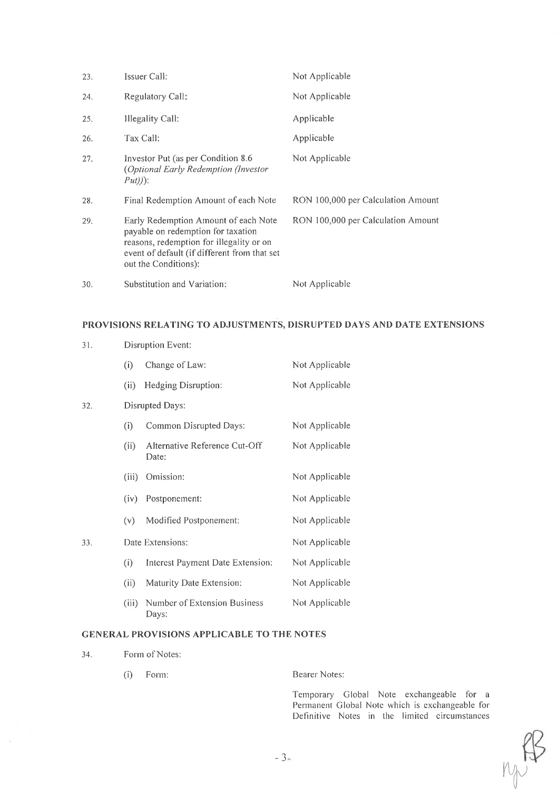| 23. | Issuer Call:                                                                                                                                                                                   | Not Applicable                     |
|-----|------------------------------------------------------------------------------------------------------------------------------------------------------------------------------------------------|------------------------------------|
| 24. | Regulatory Call:                                                                                                                                                                               | Not Applicable                     |
| 25. | Illegality Call:                                                                                                                                                                               | Applicable                         |
| 26. | Tax Call:                                                                                                                                                                                      | Applicable                         |
| 27. | Investor Put (as per Condition 8.6)<br>(Optional Early Redemption (Investor)<br>$Put))$ :                                                                                                      | Not Applicable                     |
| 28. | Final Redemption Amount of each Note                                                                                                                                                           | RON 100,000 per Calculation Amount |
| 29. | Early Redemption Amount of each Note<br>payable on redemption for taxation<br>reasons, redemption for illegality or on<br>event of default (if different from that set<br>out the Conditions): | RON 100,000 per Calculation Amount |
| 30. | Substitution and Variation:                                                                                                                                                                    | Not Applicable                     |

## PROVISIONS RELATING TO ADJUSTMENTS, DISRUPTED DAYS AND DATE EXTENSIONS

| 31. |       | Disruption Event:                      |                |  |
|-----|-------|----------------------------------------|----------------|--|
|     | (i)   | Change of Law:                         | Not Applicable |  |
|     | (ii)  | Hedging Disruption:                    | Not Applicable |  |
| 32. |       | Disrupted Days:                        |                |  |
|     | (i)   | Common Disrupted Days:                 | Not Applicable |  |
|     | (ii)  | Alternative Reference Cut-Off<br>Date: | Not Applicable |  |
|     | (iii) | Omission:                              | Not Applicable |  |
|     | (iv)  | Postponement:                          | Not Applicable |  |
|     | (v)   | Modified Postponement:                 | Not Applicable |  |
| 33. |       | Date Extensions:                       | Not Applicable |  |
|     | (i)   | Interest Payment Date Extension:       | Not Applicable |  |
|     | (ii)  | Maturity Date Extension:               | Not Applicable |  |
|     | (iii) | Number of Extension Business<br>Days:  | Not Applicable |  |
|     |       |                                        |                |  |

## GENERAL PROVISIONS APPLICABLE TO THE NOTES

34. Form of Notes:

(i) Forrn: Bearer Notes:

Temporary Global Note exchangeable for a Permanent Global Note which is exchangeable for Definitive Notes in the limited circumstances

 $l\vee \hspace{-0.25cm}\sim$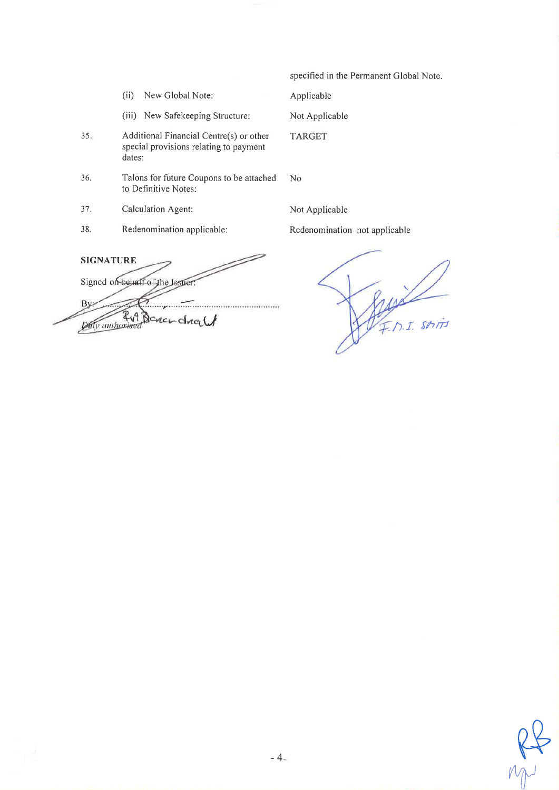specified in the Permanent Global Note.

Applicable

Not Applicable

**TARGET** 

(iii) New Safekeeping Structure:

New Global Note:

- $35.$ Additional Financial Centre(s) or other special provisions relating to payment dates:
- 36. Talons for future Coupons to be attached to Definitive Notes:

No

37. Calculation Agent:

 $(ii)$ 

38. Redenomination applicable: Not Applicable

Redenomination not applicable

**SIGNATURE** Signed on behalf of the Jasper By ...................... 2v1 **Daily** authorised  $C$ *MC<sub>r</sub>* $C$ 

F.M.I. SMIT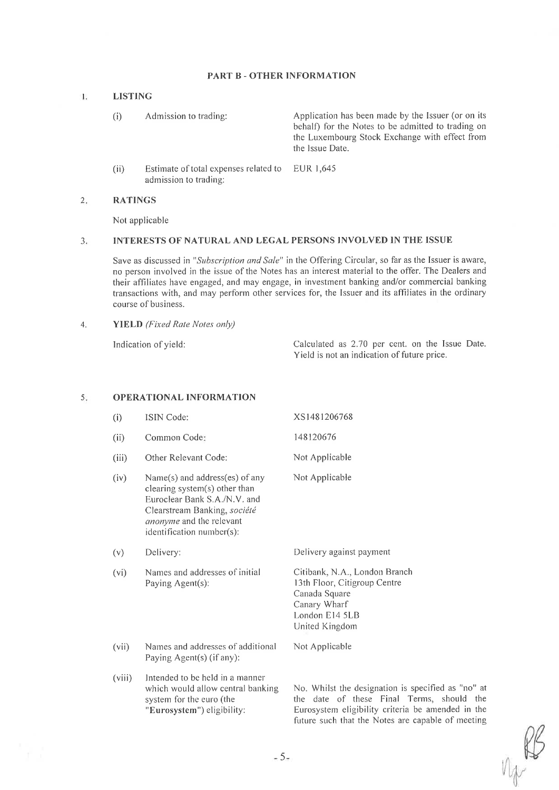## PART B - OTHER INFORMATION

#### $\mathbf{L}$ LISTING

- (i) Admission to trading: Application has been made by the Issuer (or on its behalf) for the Notes to be admitted to trading on the Luxembourg Stock Exchange with effect from the lssue Date.
- (ii) Estimate of total expenses related to admission to trading: EUR I,645

#### 2 RATINGS

Not applicable

#### INTERESTS OF NATURAL AND LEGAL PERSONS INVOLVED IN THE ISSUE  $3<sub>1</sub>$

Save as discussed in "Subscription and Sale" in the Offering Circular, so far as the Issuer is aware, no person involved in the issue of the Notes has an interest material to the offer. The Dealers and their affiliates have engaged, and may engage, in investment banking and/or commercial banking transactions with, and may perform other services for, the Issuer and its affiliates in the ordinary course of business.

4. **YIELD** (Fixed Rate Notes only)

Indication of yield: Calculated as 2.70 per cent. on the Issue Date. Yield is not an indication of future price.

#### 5. OPERATIONAL INFORMATION

- xs1481206768 148120616 (i) (ii) ISIN Code: Common Code
- (iii) Other Relevant Code:
- (iv) Name(s) and address(es) of any clearing system(s) other than Euroclear Bank S.A./N.V. and Clearstream Banking, société anonyme and the relevant identification number(s):
- (v) Delivery:
- (vi) Names and addresses of initial Paying Agent(s):

Not Applicable

Not Applicable

Not Applicable

Delivery against payment

Citibank, N.A., London Branch l3th Floor, Citigroup Centre Canada Square Canary Wharf London El4 5LB United Kingdorn

- (vii) Names and addresses of additional Paying Agent(s) (if any):
- lntended to be held in a manner which would allow central banking system for the euro (the "Eurosystem") eligibility: (viii)

No. Whilst the designation is specifìed as "no" at the date of these Final Terms, should the Eurosystem eligibility criteria be amended in the future such that the Notes are capable of meeting

 $-5$ -W